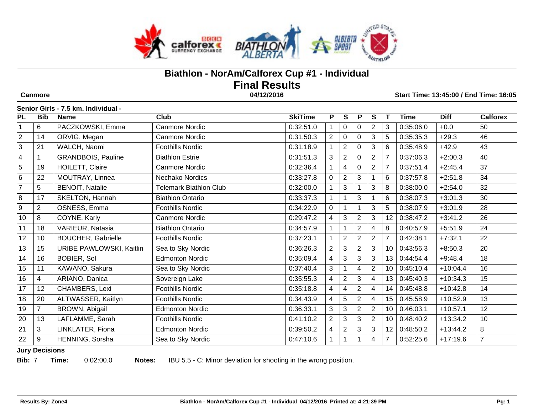

# **Biathlon - NorAm/Calforex Cup #1 - Individual Final Results Canmore 04/12/2016 Start Time: 13:45:00 / End Time: 16:05**

#### **Senior Girls - 7.5 km. Individual -**

| <b>PL</b>               | <b>Bib</b>                                                                                                                                               | <b>Name</b>               | Club                          | <b>SkiTime</b> | P              | S                | P              | S              |                | <b>Time</b> | <b>Diff</b> | <b>Calforex</b> |
|-------------------------|----------------------------------------------------------------------------------------------------------------------------------------------------------|---------------------------|-------------------------------|----------------|----------------|------------------|----------------|----------------|----------------|-------------|-------------|-----------------|
|                         | 6                                                                                                                                                        | PACZKOWSKI, Emma          | Canmore Nordic                | 0:32:51.0      |                | 0                | 0              | $\overline{c}$ | 3              | 0:35:06.0   | $+0.0$      | 50              |
| $\overline{2}$          | 14                                                                                                                                                       | ORVIG, Megan              | <b>Canmore Nordic</b>         | 0:31:50.3      | $\overline{2}$ | $\mathbf 0$      | $\mathbf 0$    | 3              | 5              | 0:35:35.3   | $+29.3$     | 46              |
| $\overline{3}$          | 21                                                                                                                                                       | WALCH, Naomi              | <b>Foothills Nordic</b>       | 0:31:18.9      |                | $\overline{2}$   | 0              | 3              | 6              | 0:35:48.9   | $+42.9$     | 43              |
| $\overline{\mathbf{4}}$ | 1                                                                                                                                                        | <b>GRANDBOIS, Pauline</b> | <b>Biathlon Estrie</b>        | 0:31:51.3      | 3              | $\overline{2}$   | 0              | $\overline{2}$ | $\overline{7}$ | 0:37:06.3   | $+2:00.3$   | 40              |
| $\overline{5}$          | 19                                                                                                                                                       | HOILETT, Claire           | <b>Canmore Nordic</b>         | 0:32:36.4      |                | 4                | 0              | $\overline{2}$ | $\overline{7}$ | 0:37:51.4   | $+2:45.4$   | 37              |
| 6                       | 22                                                                                                                                                       | MOUTRAY, Linnea           | Nechako Nordics               | 0:33:27.8      | $\Omega$       | $\overline{2}$   | 3              |                | 6              | 0:37:57.8   | $+2:51.8$   | 34              |
| $\overline{7}$          | 5                                                                                                                                                        | <b>BENOIT, Natalie</b>    | <b>Telemark Biathlon Club</b> | 0:32:00.0      |                | 3                |                | 3              | 8              | 0:38:00.0   | $+2:54.0$   | 32              |
| 8                       | 17                                                                                                                                                       | SKELTON, Hannah           | <b>Biathlon Ontario</b>       | 0:33:37.3      |                |                  | 3              |                | 6              | 0:38:07.3   | $+3:01.3$   | 30              |
| 9                       | $\overline{2}$                                                                                                                                           | OSNESS, Emma              | <b>Foothills Nordic</b>       | 0:34:22.9      | $\Omega$       |                  |                | 3              | 5              | 0:38:07.9   | $+3:01.9$   | 28              |
| 10                      | 8                                                                                                                                                        | COYNE, Karly              | <b>Canmore Nordic</b>         | 0:29:47.2      | 4              | 3                | $\overline{2}$ | 3              | 12             | 0:38:47.2   | $+3:41.2$   | 26              |
| 11                      | 18                                                                                                                                                       | VARIEUR, Natasia          | <b>Biathlon Ontario</b>       | 0:34:57.9      |                |                  | $\overline{2}$ | 4              | 8              | 0:40:57.9   | $+5:51.9$   | 24              |
| 12                      | 10                                                                                                                                                       | <b>BOUCHER, Gabrielle</b> | Foothills Nordic              | 0:37:23.1      |                | $\boldsymbol{2}$ | $\overline{2}$ | $\overline{2}$ | $\overline{7}$ | 0:42:38.1   | $+7:32.1$   | 22              |
| 13                      | 15                                                                                                                                                       | URIBE PAWLOWSKI, Kaitlin  | Sea to Sky Nordic             | 0:36:26.3      | $\overline{2}$ | 3                | $\overline{2}$ | 3              | 10             | 0:43:56.3   | $+8:50.3$   | 20              |
| 14                      | 16                                                                                                                                                       | <b>BOBIER, Sol</b>        | <b>Edmonton Nordic</b>        | 0:35:09.4      | 4              | 3                | 3              | 3              | 13             | 0:44:54.4   | $+9:48.4$   | 18              |
| 15                      | 11                                                                                                                                                       | KAWANO, Sakura            | Sea to Sky Nordic             | 0:37:40.4      | 3              |                  | 4              | $\overline{c}$ | 10             | 0:45:10.4   | $+10:04.4$  | 16              |
| 16                      | 4                                                                                                                                                        | ARIANO, Danica            | Sovereign Lake                | 0:35:55.3      | 4              | $\overline{2}$   | 3              | 4              | 13             | 0:45:40.3   | $+10:34.3$  | 15              |
| 17                      | 12                                                                                                                                                       | CHAMBERS, Lexi            | Foothills Nordic              | 0:35:18.8      | 4              | 4                | $\overline{2}$ | 4              | 14             | 0:45:48.8   | $+10:42.8$  | 14              |
| 18                      | 20                                                                                                                                                       | ALTWASSER, Kaitlyn        | Foothills Nordic              | 0:34:43.9      | 4              | 5                | $\overline{2}$ | 4              | 15             | 0:45:58.9   | $+10:52.9$  | 13              |
| 19                      | $\overline{7}$                                                                                                                                           | BROWN, Abigail            | <b>Edmonton Nordic</b>        | 0:36:33.1      | 3              | 3                | $\overline{2}$ | $\overline{2}$ | 10             | 0:46:03.1   | $+10:57.1$  | 12              |
| 20                      | 13                                                                                                                                                       | LAFLAMME, Sarah           | Foothills Nordic              | 0:41:10.2      | $\overline{2}$ | 3                | 3              | $\overline{c}$ | 10             | 0:48:40.2   | $+13:34.2$  | 10              |
| 21                      | 3                                                                                                                                                        | LINKLATER, Fiona          | <b>Edmonton Nordic</b>        | 0:39:50.2      | 4              | $\overline{c}$   | 3              | 3              | 12             | 0:48:50.2   | $+13:44.2$  | 8               |
| 22                      | 9<br>$\overline{1}$ and $\overline{1}$ and $\overline{1}$ and $\overline{1}$ and $\overline{1}$ and $\overline{1}$ and $\overline{1}$ and $\overline{1}$ | HENNING, Sorsha           | Sea to Sky Nordic             | 0:47:10.6      |                |                  |                | 4              | $\overline{7}$ | 0:52:25.6   | $+17:19.6$  | $\overline{7}$  |

#### **Jury Decisions**

**Bib:** 7 **Time:** 0:02:00.0 **Notes:** IBU 5.5 - C: Minor deviation for shooting in the wrong position.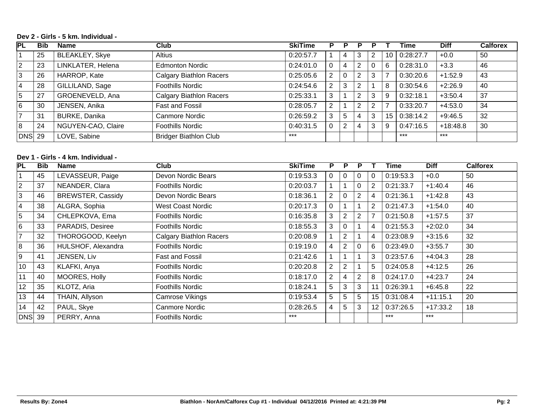### **Dev 2 - Girls - 5 km. Individual -**

| PL             | <b>Bib</b> | Name                  | Club                           | <b>SkiTime</b> |   | Р               |   |   |    | Time      | <b>Diff</b> | <b>Calforex</b> |
|----------------|------------|-----------------------|--------------------------------|----------------|---|-----------------|---|---|----|-----------|-------------|-----------------|
|                | 25         | <b>BLEAKLEY, Skye</b> | <b>Altius</b>                  | 0:20:57.7      |   |                 |   |   | 10 | 0:28:27.7 | $+0.0$      | 50              |
| $\overline{2}$ | 23         | LINKLATER, Helena     | <b>Edmonton Nordic</b>         | 0:24:01.0      | 0 | 4               | 2 |   | 6  | 0:28:31.0 | $+3.3$      | 46              |
| 3              | 26         | HARROP, Kate          | <b>Calgary Biathlon Racers</b> | 0:25:05.6      | 2 |                 | ົ | 3 |    | 0:30:20.6 | $+1:52.9$   | 43              |
| 4              | 28         | GILLILAND, Sage       | <b>Foothills Nordic</b>        | 0:24:54.6      | 2 | 3               | ◠ |   | 8  | 0:30:54.6 | $+2:26.9$   | 40              |
| 5              | 27         | GROENEVELD, Ana       | <b>Calgary Biathlon Racers</b> | 0:25:33.1      | 3 |                 | ົ | 3 | 9  | 0:32:18.1 | $+3:50.4$   | 37              |
| 6              | 30         | JENSEN, Anika         | Fast and Fossil                | 0:28:05.7      | 2 |                 | ົ | っ | -  | 0:33:20.7 | +4:53.0     | 34              |
|                | 31         | <b>BURKE, Danika</b>  | Canmore Nordic                 | 0:26:59.2      | 3 | $5\overline{)}$ |   | 3 | 15 | 0:38:14.2 | $+9:46.5$   | 32              |
| 8              | 24         | NGUYEN-CAO, Claire    | <b>Foothills Nordic</b>        | 0:40:31.5      |   | $\overline{2}$  |   | 3 | 9  | 0:47:16.5 | $+18:48.8$  | 30              |
| <b>DNS</b> 29  |            | LOVE, Sabine          | <b>Bridger Biathlon Club</b>   | $***$          |   |                 |   |   |    | $***$     | $***$       |                 |

## **Dev 1 - Girls - 4 km. Individual -**

| $\overline{\mathsf{PL}}$ | <b>Bib</b> | Name                     | Club                           | <b>SkiTime</b> | P              | P              | Р              |    | Time      | <b>Diff</b> | <b>Calforex</b> |
|--------------------------|------------|--------------------------|--------------------------------|----------------|----------------|----------------|----------------|----|-----------|-------------|-----------------|
|                          | 45         | LEVASSEUR, Paige         | Devon Nordic Bears             | 0:19:53.3      | $\mathbf{0}$   | 0              | 0              | 0  | 0:19:53.3 | $+0.0$      | 50              |
| $\overline{2}$           | 37         | NEANDER, Clara           | Foothills Nordic               | 0:20:03.7      |                |                | 0              | 2  | 0:21:33.7 | $+1:40.4$   | 46              |
| 3                        | 46         | <b>BREWSTER, Cassidy</b> | Devon Nordic Bears             | 0:18:36.1      | $\overline{2}$ | $\Omega$       | 2              | 4  | 0:21:36.1 | $+1:42.8$   | 43              |
| 4                        | 38         | ALGRA, Sophia            | <b>West Coast Nordic</b>       | 0:20:17.3      | 0              |                |                | 2  | 0:21:47.3 | $+1:54.0$   | 40              |
| 5                        | 34         | CHLEPKOVA, Ema           | Foothills Nordic               | 0:16:35.8      | 3              | $\overline{2}$ | $\overline{2}$ |    | 0:21:50.8 | $+1:57.5$   | 37              |
| 6                        | 33         | PARADIS, Desiree         | <b>Foothills Nordic</b>        | 0:18:55.3      | 3              | $\Omega$       |                | 4  | 0:21:55.3 | $+2:02.0$   | 34              |
| $\overline{7}$           | 32         | THOROGOOD, Keelyn        | <b>Calgary Biathlon Racers</b> | 0:20:08.9      |                | $\overline{2}$ |                | 4  | 0:23:08.9 | $+3:15.6$   | 32              |
| 8                        | 36         | HULSHOF, Alexandra       | <b>Foothills Nordic</b>        | 0:19:19.0      | 4              | $\overline{2}$ | $\mathbf 0$    | 6  | 0:23:49.0 | $+3:55.7$   | 30              |
| 9                        | 41         | JENSEN, Liv              | <b>Fast and Fossil</b>         | 0:21:42.6      |                |                |                | 3  | 0:23:57.6 | $+4:04.3$   | 28              |
| 10                       | 43         | KLAFKI, Anya             | Foothills Nordic               | 0:20:20.8      | 2              | $\overline{2}$ |                | 5  | 0:24:05.8 | $+4:12.5$   | 26              |
| 11                       | 40         | MOORES, Holly            | <b>Foothills Nordic</b>        | 0:18:17.0      | $\overline{2}$ | 4              | 2              | 8  | 0:24:17.0 | $+4:23.7$   | 24              |
| 12                       | 35         | KLOTZ, Aria              | <b>Foothills Nordic</b>        | 0:18:24.1      | 5              | 3              | 3              | 11 | 0:26:39.1 | $+6:45.8$   | 22              |
| 13                       | 44         | THAIN, Allyson           | Camrose Vikings                | 0:19:53.4      | 5              | 5              | 5              | 15 | 0:31:08.4 | $+11:15.1$  | 20              |
| 14                       | 42         | PAUL, Skye               | Canmore Nordic                 | 0:28:26.5      | 4              | 5              | 3              | 12 | 0:37:26.5 | $+17:33.2$  | 18              |
| $DNS$ 39                 |            | PERRY, Anna              | <b>Foothills Nordic</b>        | $***$          |                |                |                |    | $***$     | $***$       |                 |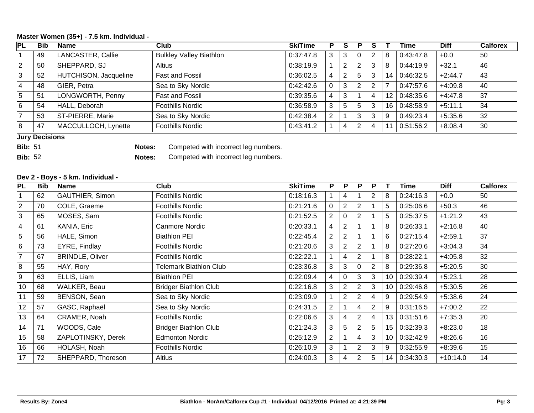#### **Master Women (35+) - 7.5 km. Individual -**

| PL             | <b>Bib</b> | <b>Name</b>           | <b>Club</b>                    | <b>SkiTime</b> |                | S              | Р |                |    | Time      | <b>Diff</b> | <b>Calforex</b> |
|----------------|------------|-----------------------|--------------------------------|----------------|----------------|----------------|---|----------------|----|-----------|-------------|-----------------|
|                | 49         | LANCASTER, Callie     | <b>Bulkley Valley Biathlon</b> | 0:37:47.8      | 3              | 3              |   | 2              | 8  | 0:43:47.8 | $+0.0$      | 50              |
| $ 2\rangle$    | 50         | SHEPPARD, SJ          | Altius                         | 0:38:19.9      |                | $\overline{2}$ | ◠ | 3              | 8  | 0:44:19.9 | $+32.1$     | 46              |
| 3              | 52         | HUTCHISON, Jacqueline | Fast and Fossil                | 0:36:02.5      |                | 2              | 5 | 3              | 14 | 0:46:32.5 | $+2:44.7$   | 43              |
| 4              | 48         | GIER, Petra           | Sea to Sky Nordic              | 0:42:42.6      |                | 3              | ◠ | $\overline{2}$ | 7  | 0:47:57.6 | $+4:09.8$   | 40              |
| 5              | -51        | LONGWORTH, Penny      | Fast and Fossil                | 0:39:35.6      |                | 3              |   |                | 12 | 0:48:35.6 | $+4:47.8$   | 37              |
| 6              | 54         | HALL, Deborah         | <b>Foothills Nordic</b>        | 0:36:58.9      |                | 5              | 5 | 3              | 16 | 0:48:58.9 | $+5:11.1$   | 34              |
| $\overline{7}$ | 53         | ST-PIERRE, Marie      | Sea to Sky Nordic              | 0:42:38.4      | $\overline{2}$ |                | ◠ | 3              | 9  | 0:49:23.4 | $+5:35.6$   | 32              |
| 8              | 47         | MACCULLOCH, Lynette   | <b>Foothills Nordic</b>        | 0:43:41.2      |                | 4              |   |                |    | 0:51:56.2 | $+8:08.4$   | 30              |

#### **Jury Decisions**

**Bib:** 51 **Notes:** Competed with incorrect leg numbers.

**Bib:** 52 **Notes:** Competed with incorrect leg numbers.

#### **Dev 2 - Boys - 5 km. Individual -**

| PL              | <b>Bib</b> | <b>Name</b>            | <b>Club</b>                   | <b>SkiTime</b> | P.                        | P              | P              | P.             |                 | Time      | <b>Diff</b> | <b>Calforex</b> |
|-----------------|------------|------------------------|-------------------------------|----------------|---------------------------|----------------|----------------|----------------|-----------------|-----------|-------------|-----------------|
|                 | 62         | <b>GAUTHIER, Simon</b> | Foothills Nordic              | 0:18:16.3      |                           | 4              |                | $\overline{2}$ | 8               | 0:24:16.3 | $+0.0$      | 50              |
| $\overline{2}$  | 70         | COLE, Graeme           | <b>Foothills Nordic</b>       | 0:21:21.6      |                           | $\overline{2}$ | 2              |                | 5               | 0:25:06.6 | $+50.3$     | 46              |
| $\overline{3}$  | 65         | MOSES, Sam             | <b>Foothills Nordic</b>       | 0:21:52.5      | $\mathbf{2}^{\mathsf{I}}$ | 0              | $\mathbf{2}$   |                | 5               | 0:25:37.5 | $+1:21.2$   | 43              |
| $\overline{4}$  | 61         | KANIA, Eric            | Canmore Nordic                | 0:20:33.1      | 4                         | $\overline{2}$ |                |                | 8               | 0:26:33.1 | $+2:16.8$   | 40              |
| $\overline{5}$  | 56         | HALE, Simon            | <b>Biathlon PEI</b>           | 0:22:45.4      | $\overline{2}$            | $\overline{2}$ |                |                | 6               | 0:27:15.4 | $+2:59.1$   | 37              |
| $6\overline{6}$ | 73         | EYRE, Findlay          | <b>Foothills Nordic</b>       | 0:21:20.6      | 3                         | $\overline{2}$ | $\overline{2}$ |                | 8               | 0:27:20.6 | $+3:04.3$   | 34              |
| $\overline{7}$  | 67         | <b>BRINDLE, Oliver</b> | <b>Foothills Nordic</b>       | 0:22:22.1      |                           | 4              | $\mathbf{2}$   |                | 8               | 0:28:22.1 | $+4:05.8$   | 32              |
| $\overline{8}$  | 55         | HAY, Rory              | <b>Telemark Biathlon Club</b> | 0:23:36.8      | 3                         | 3              | 0              | $\overline{2}$ | 8               | 0:29:36.8 | $+5:20.5$   | 30              |
| 9               | 63         | ELLIS, Liam            | <b>Biathlon PEI</b>           | 0:22:09.4      | 4                         | 0              | 3              | 3              | 10              | 0:29:39.4 | $+5:23.1$   | 28              |
| 10              | 68         | WALKER, Beau           | <b>Bridger Biathlon Club</b>  | 0:22:16.8      | 3                         | $\overline{2}$ | 2              | 3              | 10              | 0:29:46.8 | $+5:30.5$   | 26              |
| 11              | 59         | BENSON, Sean           | Sea to Sky Nordic             | 0:23:09.9      |                           | $\overline{2}$ | 2              | 4              | 9               | 0:29:54.9 | $+5:38.6$   | 24              |
| 12              | 57         | GASC, Raphaël          | Sea to Sky Nordic             | 0:24:31.5      | $\overline{2}$            |                | 4              | 2              | 9               | 0:31:16.5 | $+7:00.2$   | 22              |
| 13              | 64         | CRAMER, Noah           | <b>Foothills Nordic</b>       | 0:22:06.6      | 3                         | 4              | $\overline{2}$ | 4              | 13              | 0:31:51.6 | $+7:35.3$   | 20              |
| 14              | 71         | WOODS, Cale            | <b>Bridger Biathlon Club</b>  | 0:21:24.3      | 3                         | 5              | $\overline{2}$ | 5              | 15              | 0:32:39.3 | $+8:23.0$   | 18              |
| 15              | 58         | ZAPLOTINSKY, Derek     | <b>Edmonton Nordic</b>        | 0:25:12.9      | $\mathbf{2}^{\mathsf{I}}$ |                | 4              | 3              | 10 <sup>°</sup> | 0:32:42.9 | $+8:26.6$   | 16              |
| 16              | 66         | HOLASH, Noah           | <b>Foothills Nordic</b>       | 0:26:10.9      | 3                         |                | $\mathbf{2}$   | 3              | 9               | 0:32:55.9 | $+8:39.6$   | 15              |
| 17              | 72         | SHEPPARD, Thoreson     | Altius                        | 0:24:00.3      | 3                         | 4              | 2              | 5              | 14              | 0:34:30.3 | $+10:14.0$  | 14              |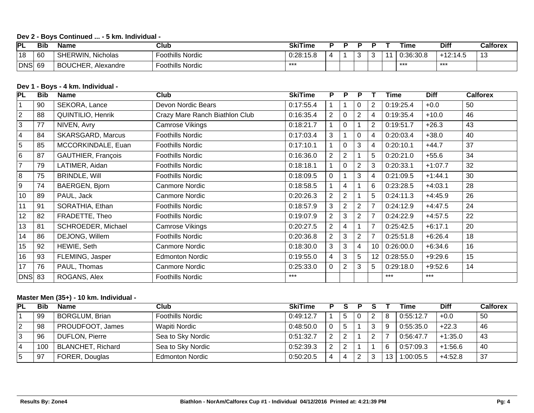## **Dev 2 - Boys Continued ... - 5 km. Individual -**

| <b>PL</b>  | <b>Bib</b> | Name                                      | Club             | <b>SkiTime</b> |  |           | ⊺ime      | Diff       | Calforex                       |
|------------|------------|-------------------------------------------|------------------|----------------|--|-----------|-----------|------------|--------------------------------|
| 18         | -60        | Nicholas<br>FRWIN.<br>SHEI                | cothills Nordic  | 0:28:15.8      |  | $\bullet$ | 0:36:30.8 | $+12:14.5$ | $\overline{\phantom{a}}$<br>ιv |
| <b>DNS</b> | 69         | <b>NUCHER.</b><br><b>DOI</b><br>Alexandre | Foothills Nordic | ***            |  |           | $***$     | ***        |                                |

## **Dev 1 - Boys - 4 km. Individual -**

| PL               | <b>Bib</b> | <b>Name</b>              | Club                           | <b>SkiTime</b> | P              | P              | P              |                | Time      | <b>Diff</b> | <b>Calforex</b> |
|------------------|------------|--------------------------|--------------------------------|----------------|----------------|----------------|----------------|----------------|-----------|-------------|-----------------|
|                  | 90         | SEKORA, Lance            | Devon Nordic Bears             | 0:17:55.4      |                |                | 0              | $\overline{2}$ | 0:19:25.4 | $+0.0$      | 50              |
| $\overline{2}$   | 88         | <b>QUINTILIO, Henrik</b> | Crazy Mare Ranch Biathlon Club | 0:16:35.4      | $\overline{2}$ | 0              | $\overline{2}$ | 4              | 0:19:35.4 | $+10.0$     | 46              |
| 3                | 77         | NIVEN, Avry              | Camrose Vikings                | 0:18:21.7      |                | 0              |                | $\overline{2}$ | 0:19:51.7 | $+26.3$     | 43              |
| $\overline{4}$   | 84         | <b>SKARSGARD, Marcus</b> | Foothills Nordic               | 0:17:03.4      | 3              |                | 0              | 4              | 0:20:03.4 | $+38.0$     | 40              |
| 5                | 85         | MCCORKINDALE, Euan       | <b>Foothills Nordic</b>        | 0:17:10.1      |                | 0              | 3              | 4              | 0:20:10.1 | $+44.7$     | 37              |
| $6\phantom{1}$   | 87         | GAUTHIER, François       | Foothills Nordic               | 0:16:36.0      | $\overline{2}$ | $\overline{2}$ |                | 5              | 0:20:21.0 | $+55.6$     | 34              |
| $\overline{7}$   | 79         | LATIMER, Aidan           | Foothills Nordic               | 0:18:18.1      |                | 0              | $\overline{2}$ | 3              | 0:20:33.1 | $+1:07.7$   | 32              |
| 8                | 75         | <b>BRINDLE, Will</b>     | Foothills Nordic               | 0:18:09.5      | $\Omega$       |                | 3              | 4              | 0:21:09.5 | $+1:44.1$   | 30              |
| $\boldsymbol{9}$ | 74         | BAERGEN, Bjorn           | Canmore Nordic                 | 0:18:58.5      |                | 4              |                | 6              | 0:23:28.5 | $+4:03.1$   | 28              |
| 10               | 89         | PAUL, Jack               | Canmore Nordic                 | 0:20:26.3      | $\overline{2}$ | $\overline{2}$ |                | 5              | 0:24:11.3 | $+4:45.9$   | 26              |
| 11               | 91         | SORATHIA, Ethan          | Foothills Nordic               | 0:18:57.9      | 3              | $\overline{2}$ | 2              | $\overline{7}$ | 0:24:12.9 | $+4:47.5$   | 24              |
| 12               | 82         | FRADETTE, Theo           | Foothills Nordic               | 0:19:07.9      | $\overline{2}$ | 3              | 2              | $\overline{7}$ | 0:24:22.9 | $+4:57.5$   | 22              |
| 13               | 81         | SCHROEDER, Michael       | Camrose Vikings                | 0:20:27.5      | 2              | 4              |                | $\overline{7}$ | 0:25:42.5 | $+6:17.1$   | 20              |
| 14               | 86         | DEJONG, Willem           | Foothills Nordic               | 0:20:36.8      | $\overline{2}$ | 3              | $\mathbf{2}$   | $\overline{7}$ | 0:25:51.8 | $+6:26.4$   | 18              |
| 15               | 92         | HEWIE, Seth              | Canmore Nordic                 | 0:18:30.0      | 3              | 3              | 4              | 10             | 0:26:00.0 | $+6:34.6$   | 16              |
| 16               | 93         | FLEMING, Jasper          | <b>Edmonton Nordic</b>         | 0:19:55.0      | 4              | 3              | 5              | 12             | 0:28:55.0 | $+9:29.6$   | 15              |
| 17               | 76         | PAUL, Thomas             | Canmore Nordic                 | 0:25:33.0      | 0              | $\overline{2}$ | 3              | 5              | 0:29:18.0 | $+9:52.6$   | 14              |
| $DNS$ 83         |            | ROGANS, Alex             | Foothills Nordic               | $***$          |                |                |                |                | $***$     | $***$       |                 |

## **Master Men (35+) - 10 km. Individual -**

| PL | <b>Bib</b> | Name                     | Club                    | <b>SkiTime</b> |        |   |    | Time      | <b>Diff</b> | Calforex |
|----|------------|--------------------------|-------------------------|----------------|--------|---|----|-----------|-------------|----------|
|    | 99         | <b>BORGLUM, Brian</b>    | <b>Foothills Nordic</b> | 0:49:12.7      |        | 2 | 8  | 0:55:12.7 | $+0.0$      | -50      |
|    | 98         | PROUDFOOT, James         | Wapiti Nordic           | 0:48:50.0      |        | 3 | 9  | 0:55:35.0 | $+22.3$     | 46       |
|    | 96         | DUFLON, Pierre           | Sea to Sky Nordic       | 0:51:32.7      | $\sim$ | ົ |    | 0:56:47.7 | $+1:35.0$   | 43       |
|    | 100        | <b>BLANCHET, Richard</b> | Sea to Sky Nordic       | 0:52:39.3      | C      |   | 6  | 0:57:09.3 | $+1:56.6$   | 40       |
|    | 97         | FORER, Douglas           | <b>Edmonton Nordic</b>  | 0:50:20.5      | 4      | າ | 13 | 1:00:05.5 | $+4:52.8$   | 37       |